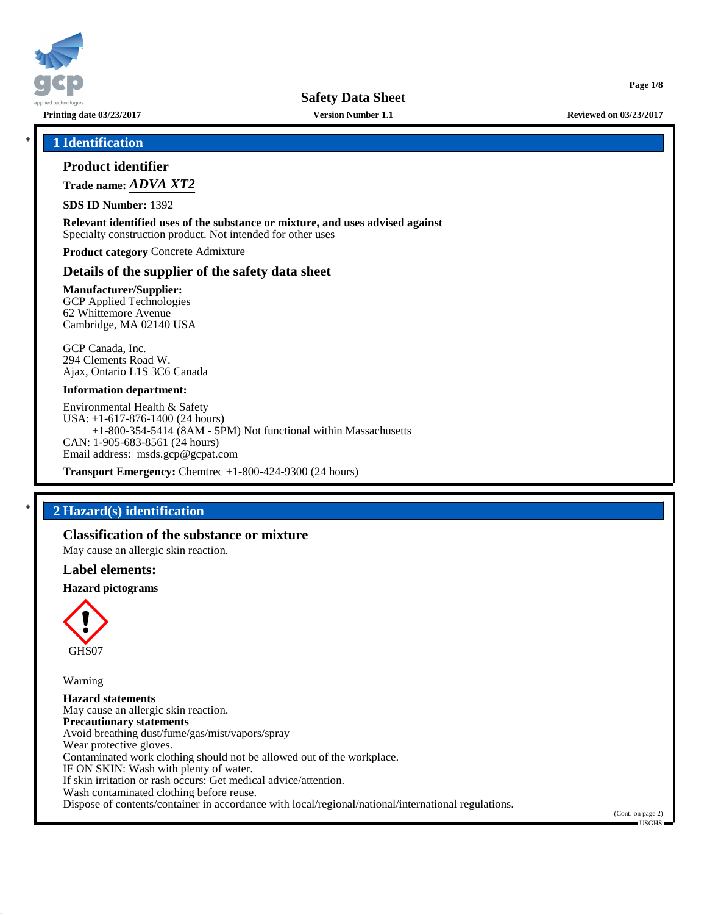

**Safety Data Sheet**

**Page 1/8**

\* **1 Identification**

# **Product identifier**

**Trade name:** *ADVA XT2*

**SDS ID Number:** 1392

**Relevant identified uses of the substance or mixture, and uses advised against** Specialty construction product. Not intended for other uses

**Product category** Concrete Admixture

## **Details of the supplier of the safety data sheet**

**Manufacturer/Supplier:** GCP Applied Technologies 62 Whittemore Avenue Cambridge, MA 02140 USA

GCP Canada, Inc. 294 Clements Road W. Ajax, Ontario L1S 3C6 Canada

#### **Information department:**

Environmental Health & Safety USA: +1-617-876-1400 (24 hours) +1-800-354-5414 (8AM - 5PM) Not functional within Massachusetts CAN: 1-905-683-8561 (24 hours) Email address: msds.gcp@gcpat.com

**Transport Emergency:** Chemtrec +1-800-424-9300 (24 hours)

# \* **2 Hazard(s) identification**

# **Classification of the substance or mixture**

May cause an allergic skin reaction.

## **Label elements:**

#### **Hazard pictograms**



Warning

**Hazard statements** May cause an allergic skin reaction. **Precautionary statements** Avoid breathing dust/fume/gas/mist/vapors/spray Wear protective gloves. Contaminated work clothing should not be allowed out of the workplace. IF ON SKIN: Wash with plenty of water. If skin irritation or rash occurs: Get medical advice/attention. Wash contaminated clothing before reuse. Dispose of contents/container in accordance with local/regional/national/international regulations.

(Cont. on page 2) USGHS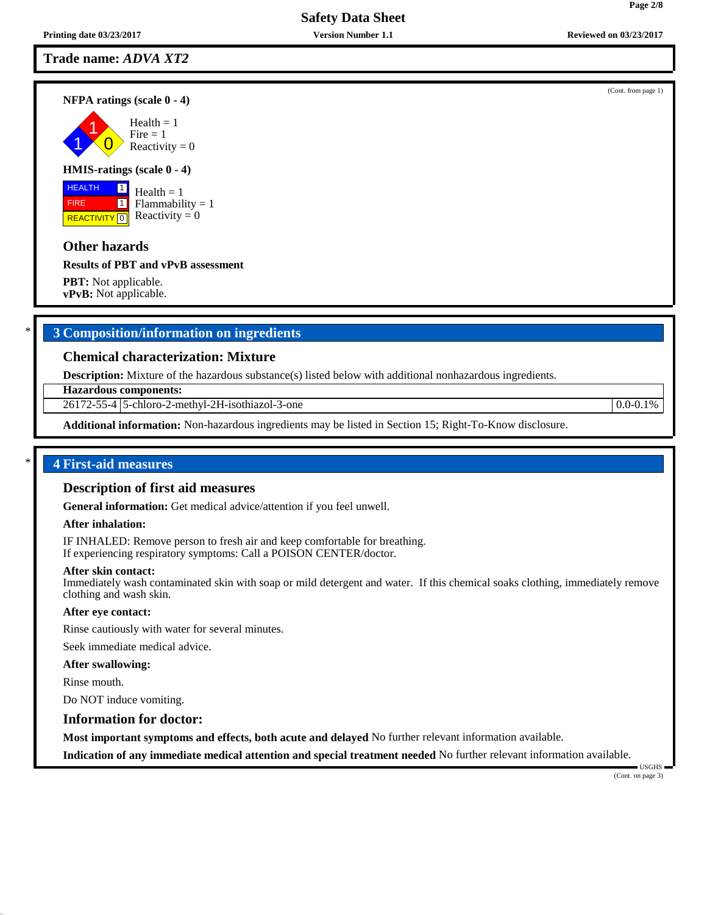# **Safety Data Sheet**

## **Trade name:** *ADVA XT2*

#### **NFPA ratings (scale 0 - 4)**

1 1  $\overline{\mathbf{0}}$  $Health = 1$  $Fire = 1$ Reactivity  $= 0$ 

#### **HMIS-ratings (scale 0 - 4)**

 HEALTH FIRE **REACTIVITY** 0  $\boxed{1}$  $\boxed{1}$ 

# $Health = 1$ Flammability  $= 1$ Reactivity  $= 0$

### **Other hazards**

#### **Results of PBT and vPvB assessment**

**PBT:** Not applicable. **vPvB:** Not applicable.

# \* **3 Composition/information on ingredients**

## **Chemical characterization: Mixture**

**Description:** Mixture of the hazardous substance(s) listed below with additional nonhazardous ingredients.

**Hazardous components:**

26172-55-4 5-chloro-2-methyl-2H-isothiazol-3-one 0.0-0.1%

**Additional information:** Non-hazardous ingredients may be listed in Section 15; Right-To-Know disclosure.

## \* **4 First-aid measures**

#### **Description of first aid measures**

**General information:** Get medical advice/attention if you feel unwell.

#### **After inhalation:**

IF INHALED: Remove person to fresh air and keep comfortable for breathing. If experiencing respiratory symptoms: Call a POISON CENTER/doctor.

#### **After skin contact:**

Immediately wash contaminated skin with soap or mild detergent and water. If this chemical soaks clothing, immediately remove clothing and wash skin.

#### **After eye contact:**

Rinse cautiously with water for several minutes.

Seek immediate medical advice.

#### **After swallowing:**

Rinse mouth.

Do NOT induce vomiting.

# **Information for doctor:**

**Most important symptoms and effects, both acute and delayed** No further relevant information available.

**Indication of any immediate medical attention and special treatment needed** No further relevant information available.

 USGHS (Cont. on page 3)

(Cont. from page 1)

**Page 2/8**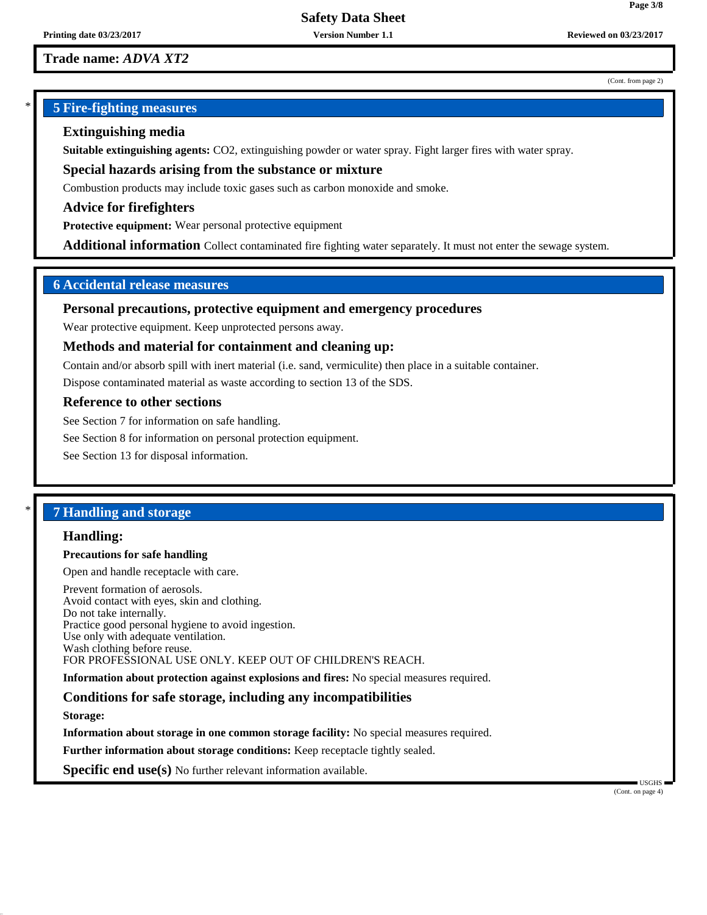# **Trade name:** *ADVA XT2*

#### (Cont. from page 2)

**Page 3/8**

# \* **5 Fire-fighting measures**

# **Extinguishing media**

**Suitable extinguishing agents:** CO2, extinguishing powder or water spray. Fight larger fires with water spray.

**Special hazards arising from the substance or mixture**

Combustion products may include toxic gases such as carbon monoxide and smoke.

**Advice for firefighters**

**Protective equipment:** Wear personal protective equipment

**Additional information** Collect contaminated fire fighting water separately. It must not enter the sewage system.

# **6 Accidental release measures**

### **Personal precautions, protective equipment and emergency procedures**

Wear protective equipment. Keep unprotected persons away.

## **Methods and material for containment and cleaning up:**

Contain and/or absorb spill with inert material (i.e. sand, vermiculite) then place in a suitable container.

Dispose contaminated material as waste according to section 13 of the SDS.

#### **Reference to other sections**

See Section 7 for information on safe handling.

See Section 8 for information on personal protection equipment.

See Section 13 for disposal information.

# \* **7 Handling and storage**

#### **Handling:**

#### **Precautions for safe handling**

Open and handle receptacle with care.

Prevent formation of aerosols. Avoid contact with eyes, skin and clothing. Do not take internally. Practice good personal hygiene to avoid ingestion. Use only with adequate ventilation. Wash clothing before reuse. FOR PROFESSIONAL USE ONLY. KEEP OUT OF CHILDREN'S REACH.

**Information about protection against explosions and fires:** No special measures required.

## **Conditions for safe storage, including any incompatibilities**

**Storage:**

**Information about storage in one common storage facility:** No special measures required.

**Further information about storage conditions:** Keep receptacle tightly sealed.

**Specific end use(s)** No further relevant information available.

(Cont. on page 4)

USGHS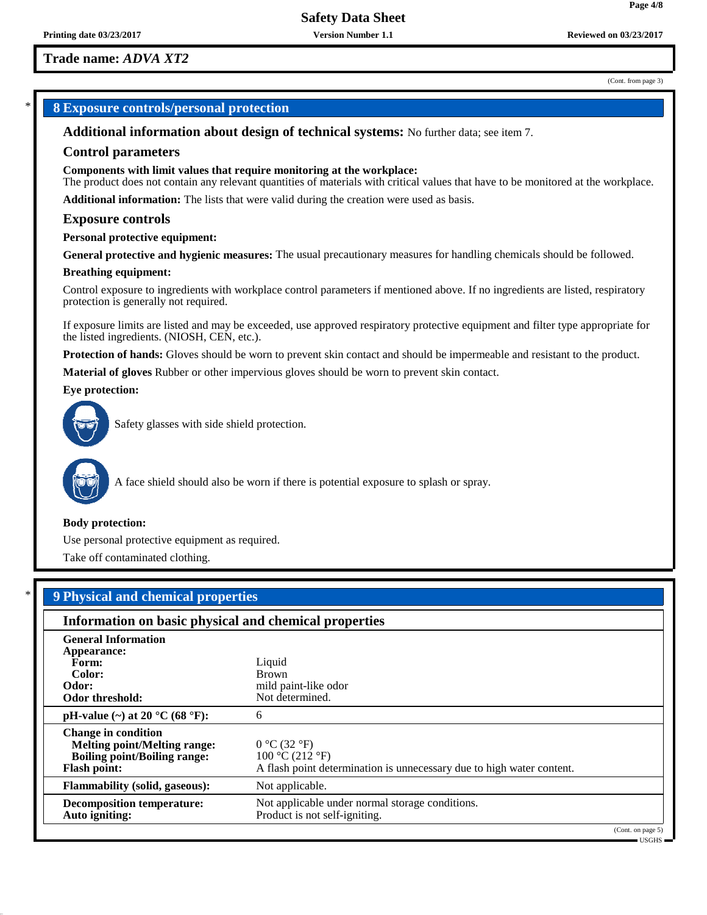# **Trade name:** *ADVA XT2*

(Cont. from page 3)

# \* **8 Exposure controls/personal protection**

**Additional information about design of technical systems:** No further data; see item 7.

#### **Control parameters**

**Components with limit values that require monitoring at the workplace:**

The product does not contain any relevant quantities of materials with critical values that have to be monitored at the workplace.

**Additional information:** The lists that were valid during the creation were used as basis.

#### **Exposure controls**

#### **Personal protective equipment:**

**General protective and hygienic measures:** The usual precautionary measures for handling chemicals should be followed.

#### **Breathing equipment:**

Control exposure to ingredients with workplace control parameters if mentioned above. If no ingredients are listed, respiratory protection is generally not required.

If exposure limits are listed and may be exceeded, use approved respiratory protective equipment and filter type appropriate for the listed ingredients. (NIOSH, CEN, etc.).

**Protection of hands:** Gloves should be worn to prevent skin contact and should be impermeable and resistant to the product.

**Material of gloves** Rubber or other impervious gloves should be worn to prevent skin contact.

#### **Eye protection:**



Safety glasses with side shield protection.



A face shield should also be worn if there is potential exposure to splash or spray.

#### **Body protection:**

Use personal protective equipment as required.

Take off contaminated clothing.

| <b>9 Physical and chemical properties</b>                                                                                       |                                                                                                          |  |  |  |
|---------------------------------------------------------------------------------------------------------------------------------|----------------------------------------------------------------------------------------------------------|--|--|--|
| Information on basic physical and chemical properties                                                                           |                                                                                                          |  |  |  |
| <b>General Information</b><br>Appearance:                                                                                       |                                                                                                          |  |  |  |
| Form:<br>Color:<br>Odor:                                                                                                        | Liquid<br><b>Brown</b><br>mild paint-like odor                                                           |  |  |  |
| Odor threshold:                                                                                                                 | Not determined.                                                                                          |  |  |  |
| pH-value (~) at 20 $^{\circ}$ C (68 $^{\circ}$ F):                                                                              | 6                                                                                                        |  |  |  |
| <b>Change in condition</b><br><b>Melting point/Melting range:</b><br><b>Boiling point/Boiling range:</b><br><b>Flash point:</b> | 0 °C (32 °F)<br>100 °C (212 °F)<br>A flash point determination is unnecessary due to high water content. |  |  |  |
| <b>Flammability (solid, gaseous):</b>                                                                                           | Not applicable.                                                                                          |  |  |  |
| <b>Decomposition temperature:</b><br>Auto igniting:                                                                             | Not applicable under normal storage conditions.<br>Product is not self-igniting.                         |  |  |  |

(Cont. on page 5) USGHS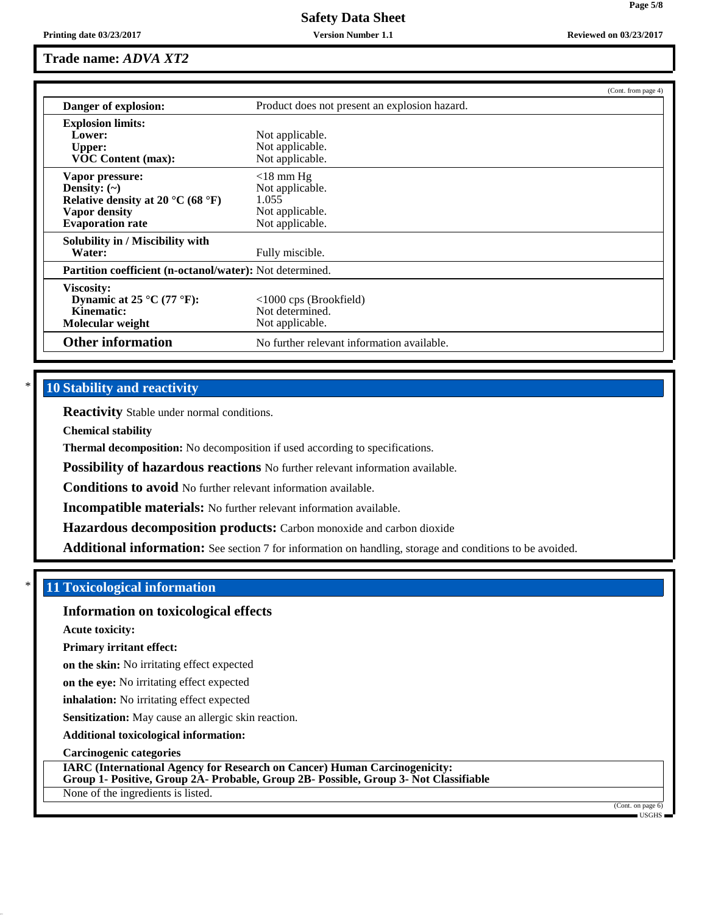# **Safety Data Sheet**

# **Trade name:** *ADVA XT2*

|                                                          |                                               | (Cont. from page 4) |
|----------------------------------------------------------|-----------------------------------------------|---------------------|
| Danger of explosion:                                     | Product does not present an explosion hazard. |                     |
| <b>Explosion limits:</b>                                 |                                               |                     |
| Lower:                                                   | Not applicable.                               |                     |
| <b>Upper:</b>                                            | Not applicable.                               |                     |
| <b>VOC Content (max):</b>                                | Not applicable.                               |                     |
| Vapor pressure:                                          | $<$ 18 mm Hg                                  |                     |
| Density: $(\sim)$                                        | Not applicable.                               |                     |
| Relative density at 20 °C (68 °F)                        | 1.055                                         |                     |
| Vapor density                                            | Not applicable.                               |                     |
| <b>Evaporation rate</b>                                  | Not applicable.                               |                     |
| Solubility in / Miscibility with                         |                                               |                     |
| Water:                                                   | Fully miscible.                               |                     |
| Partition coefficient (n-octanol/water): Not determined. |                                               |                     |
| Viscosity:                                               |                                               |                     |
| Dynamic at 25 °C (77 °F):                                | $<1000$ cps (Brookfield)                      |                     |
| Kinematic:                                               | Not determined.                               |                     |
| Molecular weight                                         | Not applicable.                               |                     |
| <b>Other information</b>                                 | No further relevant information available.    |                     |

# **10 Stability and reactivity**

**Reactivity** Stable under normal conditions.

**Chemical stability**

**Thermal decomposition:** No decomposition if used according to specifications.

**Possibility of hazardous reactions** No further relevant information available.

**Conditions to avoid** No further relevant information available.

**Incompatible materials:** No further relevant information available.

**Hazardous decomposition products:** Carbon monoxide and carbon dioxide

**Additional information:** See section 7 for information on handling, storage and conditions to be avoided.

# \* **11 Toxicological information**

# **Information on toxicological effects**

**Acute toxicity:**

**Primary irritant effect:**

**on the skin:** No irritating effect expected

**on the eye:** No irritating effect expected

**inhalation:** No irritating effect expected

**Sensitization:** May cause an allergic skin reaction.

**Additional toxicological information:**

**Carcinogenic categories**

**IARC (International Agency for Research on Cancer) Human Carcinogenicity: Group 1- Positive, Group 2A- Probable, Group 2B- Possible, Group 3- Not Classifiable**

None of the ingredients is listed.

(Cont. on page 6) USGHS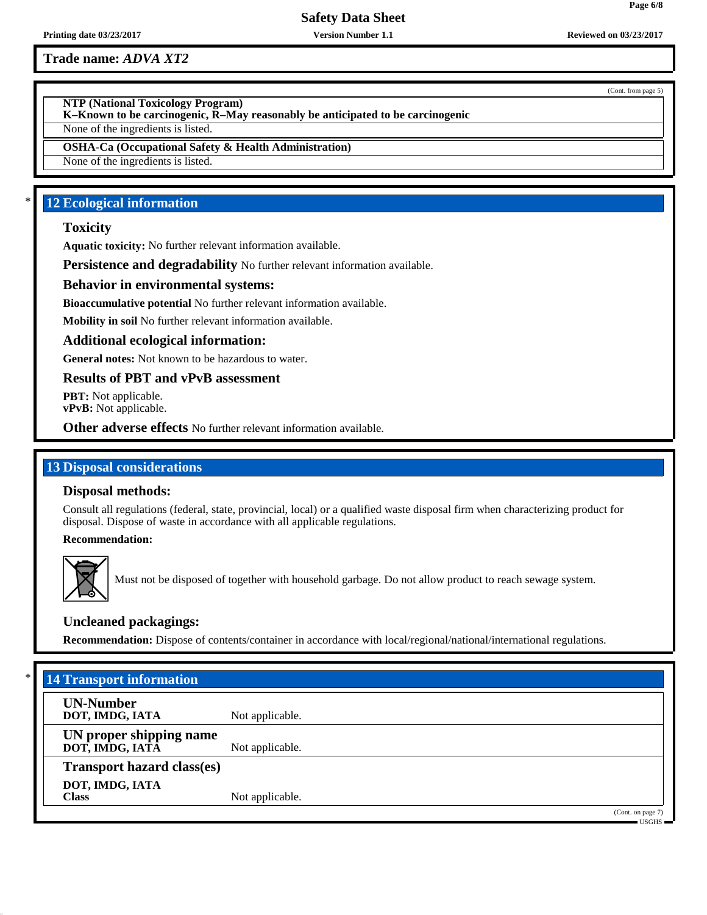**Printing date 03/23/2017 Version Number 1.1 Reviewed on 03/23/2017**

**Trade name:** *ADVA XT2*

**NTP (National Toxicology Program)**

**K–Known to be carcinogenic, R–May reasonably be anticipated to be carcinogenic**

None of the ingredients is listed.

**OSHA-Ca (Occupational Safety & Health Administration)**

None of the ingredients is listed.

# **12 Ecological information**

# **Toxicity**

**Aquatic toxicity:** No further relevant information available.

**Persistence and degradability** No further relevant information available.

# **Behavior in environmental systems:**

**Bioaccumulative potential** No further relevant information available.

**Mobility in soil** No further relevant information available.

## **Additional ecological information:**

**General notes:** Not known to be hazardous to water.

**Results of PBT and vPvB assessment**

**PBT:** Not applicable. **vPvB:** Not applicable.

**Other adverse effects** No further relevant information available.

# **13 Disposal considerations**

## **Disposal methods:**

Consult all regulations (federal, state, provincial, local) or a qualified waste disposal firm when characterizing product for disposal. Dispose of waste in accordance with all applicable regulations.

**Recommendation:**



Must not be disposed of together with household garbage. Do not allow product to reach sewage system.

# **Uncleaned packagings:**

**Recommendation:** Dispose of contents/container in accordance with local/regional/national/international regulations.

| $*$<br><b>14 Transport information</b>     |                 |                                                                              |
|--------------------------------------------|-----------------|------------------------------------------------------------------------------|
| <b>UN-Number</b><br>DOT, IMDG, IATA        | Not applicable. |                                                                              |
| UN proper shipping name<br>DOT, IMDG, IATĀ | Not applicable. |                                                                              |
| <b>Transport hazard class(es)</b>          |                 |                                                                              |
| DOT, IMDG, IATA<br><b>Class</b>            | Not applicable. |                                                                              |
|                                            |                 | (Cont. on page 7)<br>$\overline{\phantom{a}}$ usghs $\overline{\phantom{a}}$ |

(Cont. from page 5)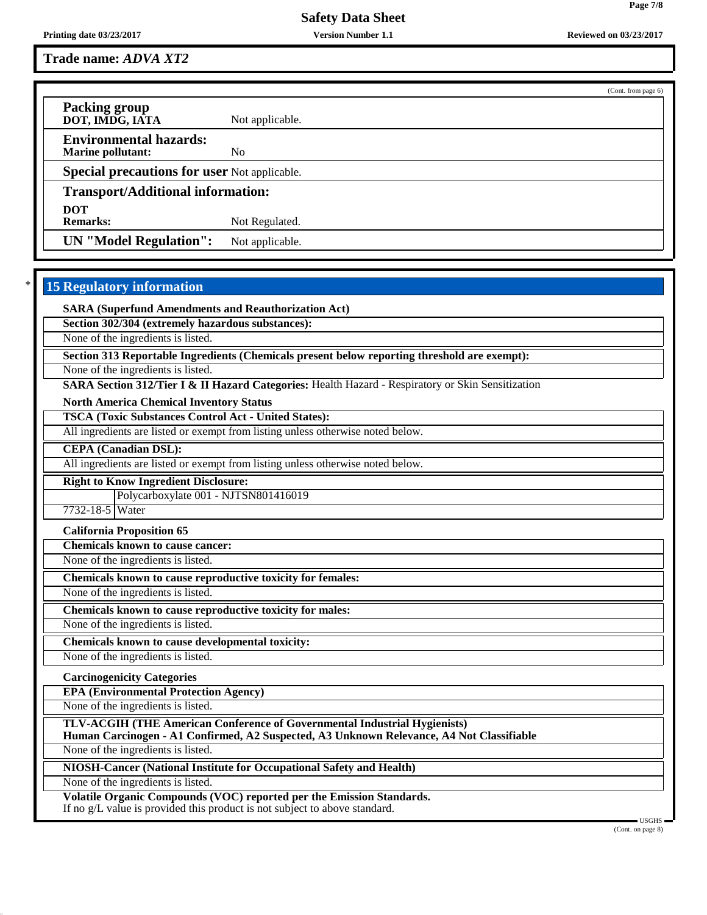**Printing date 03/23/2017 Version Number 1.1 Reviewed on 03/23/2017**

**Trade name:** *ADVA XT2*

(Cont. from page 6) **Packing group DOT, IMDG, IATA** Not applicable. **Environmental hazards: Marine pollutant:** No **Special precautions for user** Not applicable. **Transport/Additional information: DOT** Not Regulated. **UN "Model Regulation":** Not applicable.

# **15 Regulatory information**

**SARA (Superfund Amendments and Reauthorization Act)**

**Section 302/304 (extremely hazardous substances):**

None of the ingredients is listed.

**Section 313 Reportable Ingredients (Chemicals present below reporting threshold are exempt):**

None of the ingredients is listed.

**SARA Section 312/Tier I & II Hazard Categories:** Health Hazard - Respiratory or Skin Sensitization

**North America Chemical Inventory Status**

**TSCA (Toxic Substances Control Act - United States):**

All ingredients are listed or exempt from listing unless otherwise noted below.

**CEPA (Canadian DSL):**

All ingredients are listed or exempt from listing unless otherwise noted below.

**Right to Know Ingredient Disclosure:**

Polycarboxylate 001 - NJTSN801416019

7732-18-5 Water

**California Proposition 65**

**Chemicals known to cause cancer:**

None of the ingredients is listed.

**Chemicals known to cause reproductive toxicity for females:**

None of the ingredients is listed.

**Chemicals known to cause reproductive toxicity for males:**

None of the ingredients is listed.

**Chemicals known to cause developmental toxicity:**

None of the ingredients is listed.

**Carcinogenicity Categories**

**EPA (Environmental Protection Agency)**

None of the ingredients is listed.

**TLV-ACGIH (THE American Conference of Governmental Industrial Hygienists)**

**Human Carcinogen - A1 Confirmed, A2 Suspected, A3 Unknown Relevance, A4 Not Classifiable**

None of the ingredients is listed.

**NIOSH-Cancer (National Institute for Occupational Safety and Health)**

None of the ingredients is listed.

**Volatile Organic Compounds (VOC) reported per the Emission Standards.**

If no g/L value is provided this product is not subject to above standard.